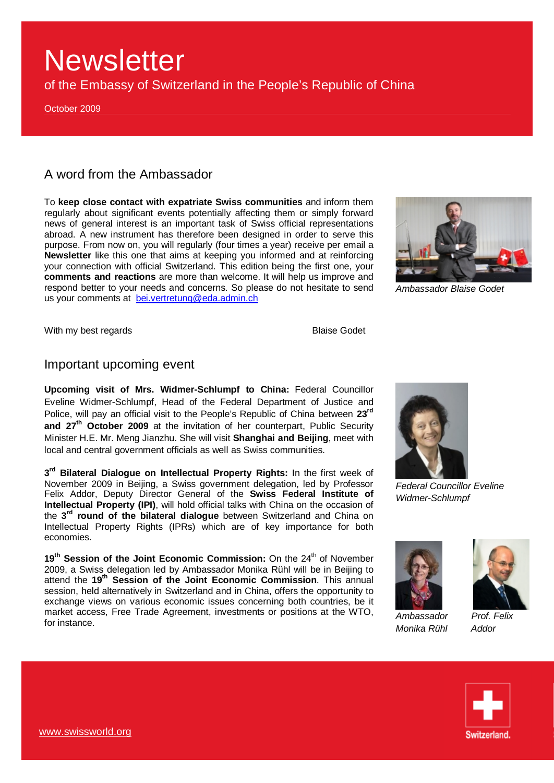of the Embassy of Switzerland in the People's Republic of China

October 2009

## A word from the Ambassador

To **keep close contact with expatriate Swiss communities** and inform them regularly about significant events potentially affecting them or simply forward news of general interest is an important task of Swiss official representations abroad. A new instrument has therefore been designed in order to serve this purpose. From now on, you will regularly (four times a year) receive per email a **Newsletter** like this one that aims at keeping you informed and at reinforcing your connection with official Switzerland. This edition being the first one, your **comments and reactions** are more than welcome. It will help us improve and respond better to your needs and concerns. So please do not hesitate to send us your comments at [bei.vertretung@eda.admin.ch](mailto:bei.vertretung@eda.admin.ch)



*Ambassador Blaise Godet* 

With my best regards **Blaise Godet** 

## Important upcoming event

**Upcoming visit of Mrs. Widmer-Schlumpf to China:** Federal Councillor Eveline Widmer-Schlumpf, Head of the Federal Department of Justice and Police, will pay an official visit to the People's Republic of China between **23rd and 27th October 2009** at the invitation of her counterpart, Public Security Minister H.E. Mr. Meng Jianzhu. She will visit **Shanghai and Beijing**, meet with local and central government officials as well as Swiss communities.

**3 rd Bilateral Dialogue on Intellectual Property Rights:** In the first week of November 2009 in Beijing, a Swiss government delegation, led by Professor Felix Addor, Deputy Director General of the **Swiss Federal Institute of Intellectual Property (IPI)**, will hold official talks with China on the occasion of the **3 rd round of the bilateral dialogue** between Switzerland and China on Intellectual Property Rights (IPRs) which are of key importance for both economies.

19<sup>th</sup> Session of the Joint Economic Commission: On the 24<sup>th</sup> of November 2009, a Swiss delegation led by Ambassador Monika Rühl will be in Beijing to attend the **19th Session of the Joint Economic Commission**. This annual session, held alternatively in Switzerland and in China, offers the opportunity to exchange views on various economic issues concerning both countries, be it market access, Free Trade Agreement, investments or positions at the WTO, for instance.



*Federal Councillor Eveline Widmer-Schlumpf* 



*Ambassador Prof. Felix Monika Rühl Addor* 



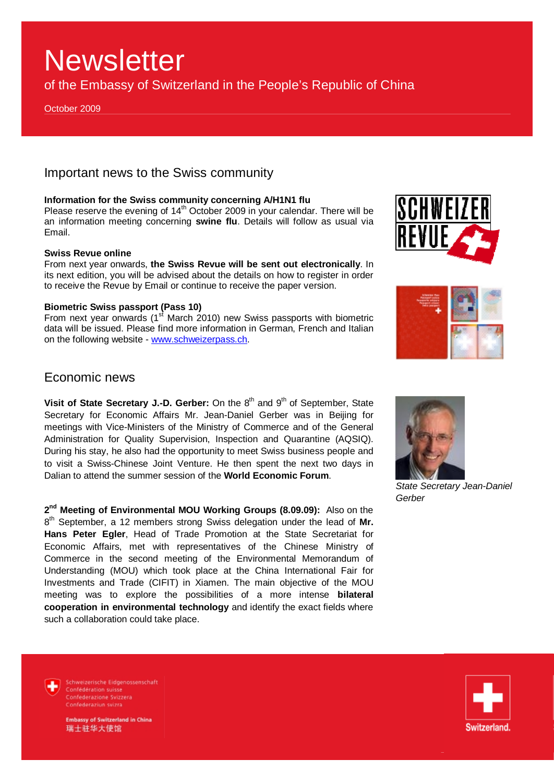of the Embassy of Switzerland in the People's Republic of China

October 2009

## Important news to the Swiss community

### **Information for the Swiss community concerning A/H1N1 flu**

Please reserve the evening of  $14<sup>th</sup>$  October 2009 in your calendar. There will be an information meeting concerning **swine flu**. Details will follow as usual via Email.

### **Swiss Revue online**

From next year onwards, **the Swiss Revue will be sent out electronically**. In its next edition, you will be advised about the details on how to register in order to receive the Revue by Email or continue to receive the paper version.

### **Biometric Swiss passport (Pass 10)**

From next year onwards (1<sup>st</sup> March 2010) new Swiss passports with biometric data will be issued. Please find more information in German, French and Italian on the following website - [www.schweizerpass.ch.](http://www.schweizerpass.ch)





## Economic news

**Visit of State Secretary J.-D. Gerber:** On the 8<sup>th</sup> and 9<sup>th</sup> of September, State Secretary for Economic Affairs Mr. Jean-Daniel Gerber was in Beijing for meetings with Vice-Ministers of the Ministry of Commerce and of the General Administration for Quality Supervision, Inspection and Quarantine (AQSIQ). During his stay, he also had the opportunity to meet Swiss business people and to visit a Swiss-Chinese Joint Venture. He then spent the next two days in Dalian to attend the summer session of the **World Economic Forum**.

**2 nd Meeting of Environmental MOU Working Groups (8.09.09):** Also on the 8 th September, a 12 members strong Swiss delegation under the lead of **Mr. Hans Peter Egler**, Head of Trade Promotion at the State Secretariat for Economic Affairs, met with representatives of the Chinese Ministry of Commerce in the second meeting of the Environmental Memorandum of Understanding (MOU) which took place at the China International Fair for Investments and Trade (CIFIT) in Xiamen. The main objective of the MOU meeting was to explore the possibilities of a more intense **bilateral cooperation in environmental technology** and identify the exact fields where such a collaboration could take place.



*State Secretary Jean-Daniel Gerber* 



Schweizerische Eidgenossenschaft Confédération suisse Confederazione Svizzera Confederaziun svizra

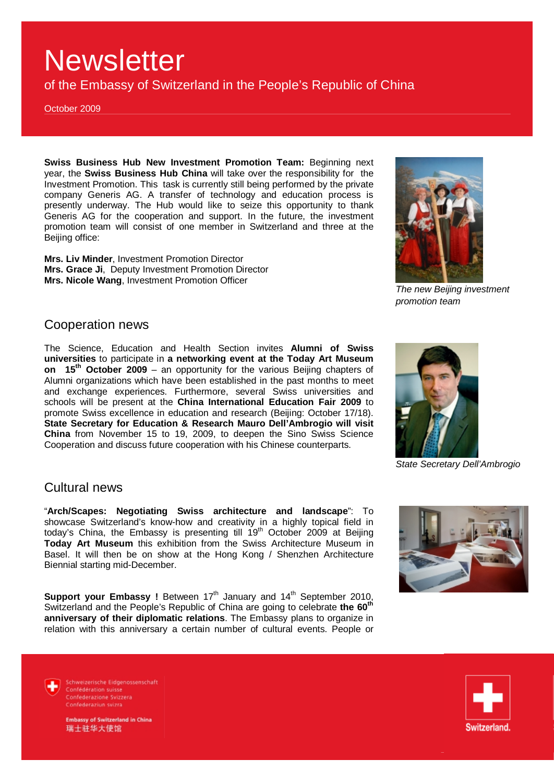of the Embassy of Switzerland in the People's Republic of China

October 2009

**Swiss Business Hub New Investment Promotion Team:** Beginning next year, the **Swiss Business Hub China** will take over the responsibility for the Investment Promotion. This task is currently still being performed by the private company Generis AG. A transfer of technology and education process is presently underway. The Hub would like to seize this opportunity to thank Generis AG for the cooperation and support. In the future, the investment promotion team will consist of one member in Switzerland and three at the Beijing office:

**Mrs. Liv Minder**, Investment Promotion Director **Mrs. Grace Ji**, Deputy Investment Promotion Director **Mrs. Nicole Wang**, Investment Promotion Officer



*The new Beijing investment promotion team* 

## Cooperation news

The Science, Education and Health Section invites **Alumni of Swiss universities** to participate in **a networking event at the Today Art Museum on 15th October 2009** – an opportunity for the various Beijing chapters of Alumni organizations which have been established in the past months to meet and exchange experiences. Furthermore, several Swiss universities and schools will be present at the **China International Education Fair 2009** to promote Swiss excellence in education and research (Beijing: October 17/18). **State Secretary for Education & Research Mauro Dell'Ambrogio will visit China** from November 15 to 19, 2009, to deepen the Sino Swiss Science Cooperation and discuss future cooperation with his Chinese counterparts.

## Cultural news

"**Arch/Scapes: Negotiating Swiss architecture and landscape**": To showcase Switzerland's know-how and creativity in a highly topical field in showcase Switzenland's Know how and Siscovity in a major operation of the today's China, the Embassy is presenting till  $19<sup>th</sup>$  October 2009 at Beijing **Today Art Museum** this exhibition from the Swiss Architecture Museum in Basel. It will then be on show at the Hong Kong / Shenzhen Architecture Biennial starting mid-December.

**Support your Embassy !** Between 17<sup>th</sup> January and 14<sup>th</sup> September 2010, Switzerland and the People's Republic of China are going to celebrate **the 60th anniversary of their diplomatic relations**. The Embassy plans to organize in relation with this anniversary a certain number of cultural events. People or



*State Secretary Dell'Ambrogio* 



Schweizerische Eidgenossenschaft Confédération suisse Confederazione Svizzera Confederaziun svizra

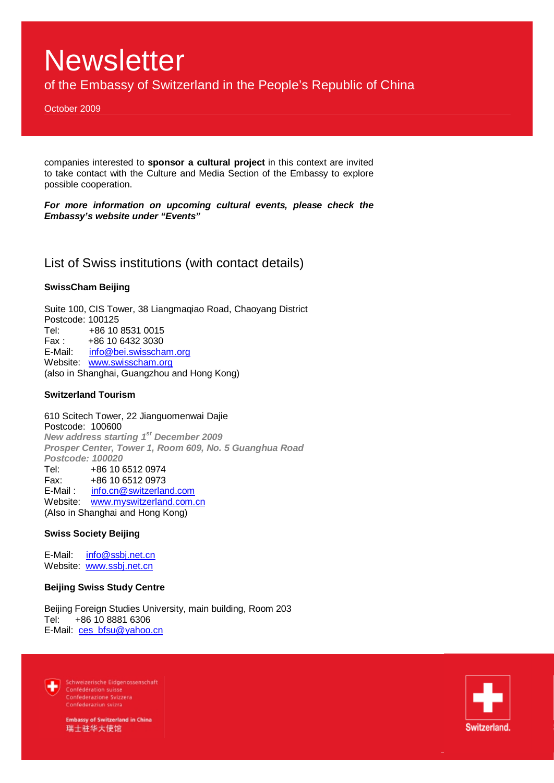of the Embassy of Switzerland in the People's Republic of China

October 2009

companies interested to **sponsor a cultural project** in this context are invited to take contact with the Culture and Media Section of the Embassy to explore possible cooperation.

*For more information on upcoming cultural events, please check the Embassy's website under "Events"* 

List of Swiss institutions (with contact details)

### **SwissCham Beijing**

Suite 100, CIS Tower, 38 Liangmaqiao Road, Chaoyang District Postcode: 100125 Tel: +86 10 8531 0015 Fax : +86 10 6432 3030 E-Mail: [info@bei.swisscham.org](mailto:info@bei.swisscham.org) Website: [www.swisscham.org](http://www.swisscham.org) (also in Shanghai, Guangzhou and Hong Kong)

### **Switzerland Tourism**

610 Scitech Tower, 22 Jianguomenwai Dajie Postcode: 100600 *New address starting 1st December 2009 Prosper Center, Tower 1, Room 609, No. 5 Guanghua Road Postcode: 100020*  Tel: +86 10 6512 0974 Fax: +86 10 6512 0973 E-Mail : [info.cn@switzerland.com](mailto:info.cn@switzerland.com) Website: [www.myswitzerland.com.cn](http://www.myswitzerland.com.cn) (Also in Shanghai and Hong Kong)

### **Swiss Society Beijing**

E-Mail: [info@ssbj.net.cn](mailto:info@ssbj.net.cn) Website: [www.ssbj.net.cn](http://www.ssbj.net.cn)

### **Beijing Swiss Study Centre**

Beijing Foreign Studies University, main building, Room 203 Tel: +86 10 8881 6306 E-Mail: [ces\\_bfsu@yahoo.cn](mailto:ces_bfsu@yahoo.cn)



Schweizerische Eidgenossenschaft Confédération suisse Confederazione Svizzera